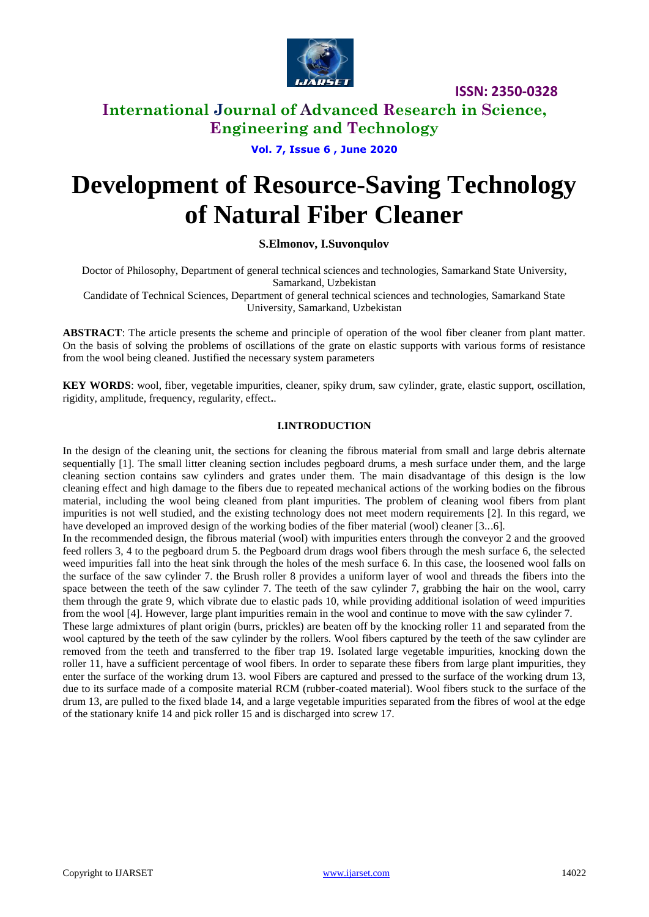

**ISSN: 2350-0328**

## **International Journal of Advanced Research in Science, Engineering and Technology**

**Vol. 7, Issue 6 , June 2020**

# **Development of Resource-Saving Technology of Natural Fiber Cleaner**

### **S.Elmonov, I.Suvonqulov**

Doctor of Philosophy, Department of general technical sciences and technologies, Samarkand State University, Samarkand, Uzbekistan

Candidate of Technical Sciences, Department of general technical sciences and technologies, Samarkand State University, Samarkand, Uzbekistan

**ABSTRACT**: The article presents the scheme and principle of operation of the wool fiber cleaner from plant matter. On the basis of solving the problems of oscillations of the grate on elastic supports with various forms of resistance from the wool being cleaned. Justified the necessary system parameters

**KEY WORDS**: wool, fiber, vegetable impurities, cleaner, spiky drum, saw cylinder, grate, elastic support, oscillation, rigidity, amplitude, frequency, regularity, effect**.**.

### **I.INTRODUCTION**

In the design of the cleaning unit, the sections for cleaning the fibrous material from small and large debris alternate sequentially [1]. The small litter cleaning section includes pegboard drums, a mesh surface under them, and the large cleaning section contains saw cylinders and grates under them. The main disadvantage of this design is the low cleaning effect and high damage to the fibers due to repeated mechanical actions of the working bodies on the fibrous material, including the wool being cleaned from plant impurities. The problem of cleaning wool fibers from plant impurities is not well studied, and the existing technology does not meet modern requirements [2]. In this regard, we have developed an improved design of the working bodies of the fiber material (wool) cleaner [3...6].

In the recommended design, the fibrous material (wool) with impurities enters through the conveyor 2 and the grooved feed rollers 3, 4 to the pegboard drum 5. the Pegboard drum drags wool fibers through the mesh surface 6, the selected weed impurities fall into the heat sink through the holes of the mesh surface 6. In this case, the loosened wool falls on the surface of the saw cylinder 7. the Brush roller 8 provides a uniform layer of wool and threads the fibers into the space between the teeth of the saw cylinder 7. The teeth of the saw cylinder 7, grabbing the hair on the wool, carry them through the grate 9, which vibrate due to elastic pads 10, while providing additional isolation of weed impurities from the wool [4]. However, large plant impurities remain in the wool and continue to move with the saw cylinder 7.

These large admixtures of plant origin (burrs, prickles) are beaten off by the knocking roller 11 and separated from the wool captured by the teeth of the saw cylinder by the rollers. Wool fibers captured by the teeth of the saw cylinder are removed from the teeth and transferred to the fiber trap 19. Isolated large vegetable impurities, knocking down the roller 11, have a sufficient percentage of wool fibers. In order to separate these fibers from large plant impurities, they enter the surface of the working drum 13. wool Fibers are captured and pressed to the surface of the working drum 13, due to its surface made of a composite material RCM (rubber-coated material). Wool fibers stuck to the surface of the drum 13, are pulled to the fixed blade 14, and a large vegetable impurities separated from the fibres of wool at the edge of the stationary knife 14 and pick roller 15 and is discharged into screw 17.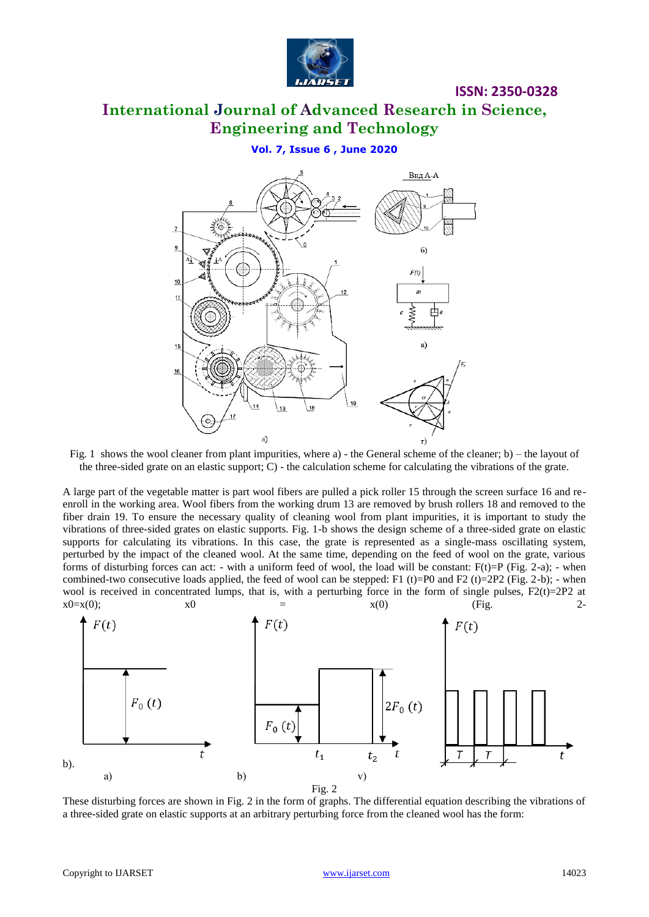

## **ISSN: 2350-0328**

## **International Journal of Advanced Research in Science, Engineering and Technology**

### **Vol. 7, Issue 6 , June 2020**



Fig. 1 shows the wool cleaner from plant impurities, where a) - the General scheme of the cleaner; b) – the layout of the three-sided grate on an elastic support; C) - the calculation scheme for calculating the vibrations of the grate.

A large part of the vegetable matter is part wool fibers are pulled a pick roller 15 through the screen surface 16 and reenroll in the working area. Wool fibers from the working drum 13 are removed by brush rollers 18 and removed to the fiber drain 19. To ensure the necessary quality of cleaning wool from plant impurities, it is important to study the vibrations of three-sided grates on elastic supports. Fig. 1-b shows the design scheme of a three-sided grate on elastic supports for calculating its vibrations. In this case, the grate is represented as a single-mass oscillating system, perturbed by the impact of the cleaned wool. At the same time, depending on the feed of wool on the grate, various forms of disturbing forces can act: - with a uniform feed of wool, the load will be constant:  $F(t)=P$  (Fig. 2-a); - when combined-two consecutive loads applied, the feed of wool can be stepped: F1 (t)=P0 and F2 (t)=2P2 (Fig. 2-b); - when wool is received in concentrated lumps, that is, with a perturbing force in the form of single pulses,  $F2(t)=2P2$  at  $x0=x(0);$   $x0 = x(0)$  (Fig. 2-



These disturbing forces are shown in Fig. 2 in the form of graphs. The differential equation describing the vibrations of a three-sided grate on elastic supports at an arbitrary perturbing force from the cleaned wool has the form: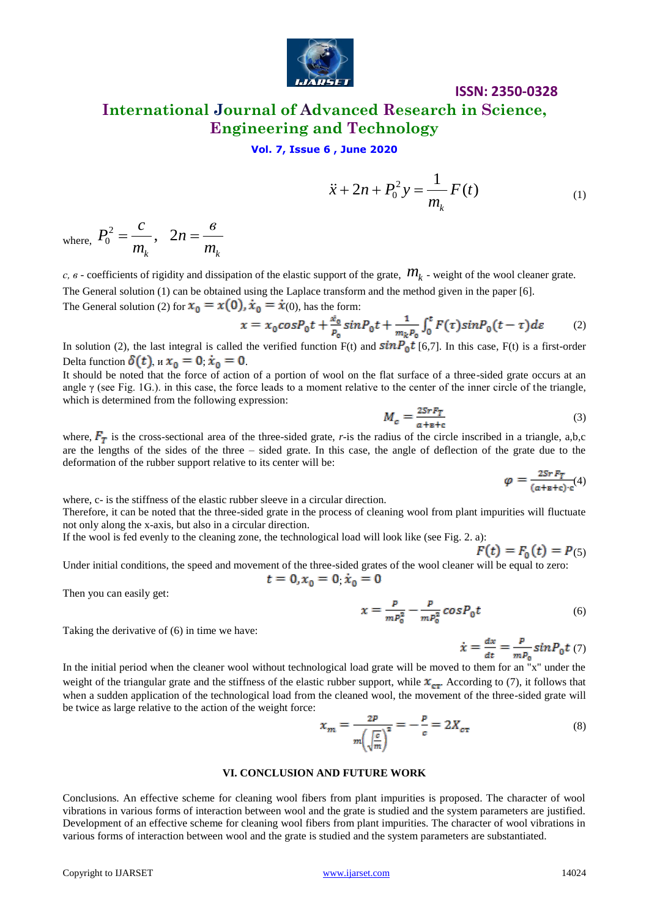

# **ISSN: 2350-0328**

## **International Journal of Advanced Research in Science, Engineering and Technology**

### **Vol. 7, Issue 6 , June 2020**

$$
\ddot{x} + 2n + P_0^2 y = \frac{1}{m_k} F(t)
$$
 (1)

where, 
$$
P_0^2 = \frac{c}{m_k}
$$
,  $2n = \frac{e}{m_k}$ 

*с, в* - coefficients of rigidity and dissipation of the elastic support of the grate, *mk* - weight of the wool cleaner grate. The General solution (1) can be obtained using the Laplace transform and the method given in the paper [6].

The General solution (2) for  $x_0 = x(0)$ ,  $\dot{x}_0 = \dot{x}(0)$ , has the form:

$$
x = x_0 \cos P_0 t + \frac{x_0}{P_0} \sin P_0 t + \frac{1}{m_k P_0} \int_0^t F(\tau) \sin P_0 (t - \tau) d\varepsilon \tag{2}
$$

In solution (2), the last integral is called the verified function  $F(t)$  and  $sinP_0t$  [6,7]. In this case,  $F(t)$  is a first-order Delta function  $\delta(t)$ ,  $\alpha x_0 = 0$ ,  $\dot{x}_0 = 0$ .

It should be noted that the force of action of a portion of wool on the flat surface of a three-sided grate occurs at an angle  $\gamma$  (see Fig. 1G.). in this case, the force leads to a moment relative to the center of the inner circle of the triangle, which is determined from the following expression:

$$
M_c = \frac{2SrF_T}{a + B + c} \tag{3}
$$

where,  $F_T$  is the cross-sectional area of the three-sided grate, *r*-is the radius of the circle inscribed in a triangle, a,b,c are the lengths of the sides of the three – sided grate. In this case, the angle of deflection of the grate due to the deformation of the rubber support relative to its center will be:

 $\varphi = \frac{2SrF_T}{(a+\text{B}+\text{c})\cdot\text{c}}(4)$ 

where, c- is the stiffness of the elastic rubber sleeve in a circular direction.

Therefore, it can be noted that the three-sided grate in the process of cleaning wool from plant impurities will fluctuate not only along the x-axis, but also in a circular direction.

If the wool is fed evenly to the cleaning zone, the technological load will look like (see Fig. 2. a):

 $F(t) = F_0(t) = P(5)$ Under initial conditions, the speed and movement of the three-sided grates of the wool cleaner will be equal to zero:

$$
t = 0, x_0 = 0, \dot{x}_0 = 0
$$

Then you can easily get:

Taking the derivative of (6) in time we have:

$$
=\frac{p}{mP_0^2} - \frac{p}{mP_0^2} \cos P_0 t
$$
 (6)

$$
\dot{x} = \frac{dx}{dt} = \frac{P}{mP_0} sin P_0 t \tag{7}
$$

 $\ddot{x} + 2n + P_0^2 y = \frac{\hbar}{m_1} F(t)$  (1)<br>
Where,  $P_0^2 = \frac{c}{m_1}$ ,  $2n = \frac{6}{m_1}$ <br>  $c.e.$  coefficients of eigidity and dissipation of the cluste support of the gause,  $m_1$ , weight of the wood cleaner gaus.<br>
The Greenal value In the initial period when the cleaner wool without technological load grate will be moved to them for an "x" under the weight of the triangular grate and the stiffness of the elastic rubber support, while  $x_{cr}$ . According to (7), it follows that when a sudden application of the technological load from the cleaned wool, the movement of the three-sided grate will be twice as large relative to the action of the weight force:

$$
x_m = \frac{2P}{m\left(\sqrt{\frac{c}{m}}\right)^2} = -\frac{P}{c} = 2X_{c\tau}
$$
 (8)

#### **VI. CONCLUSION AND FUTURE WORK**

Conclusions. An effective scheme for cleaning wool fibers from plant impurities is proposed. The character of wool vibrations in various forms of interaction between wool and the grate is studied and the system parameters are justified. Development of an effective scheme for cleaning wool fibers from plant impurities. The character of wool vibrations in various forms of interaction between wool and the grate is studied and the system parameters are substantiated.